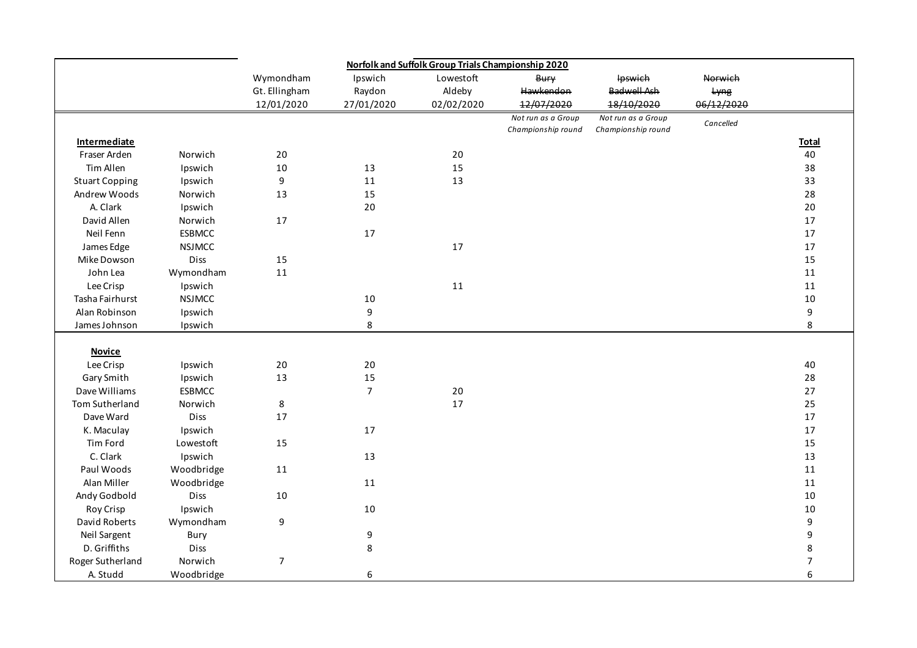|                       |               | Norfolk and Suffolk Group Trials Championship 2020 |                  |            |                    |                    |            |                  |
|-----------------------|---------------|----------------------------------------------------|------------------|------------|--------------------|--------------------|------------|------------------|
|                       |               | Wymondham                                          | Ipswich          | Lowestoft  | <b>Bury</b>        | Ipswich            | Norwich    |                  |
|                       |               | Gt. Ellingham                                      | Raydon           | Aldeby     | Hawkendon          | <b>Badwell Ash</b> | Lyng       |                  |
|                       |               | 12/01/2020                                         | 27/01/2020       | 02/02/2020 | 12/07/2020         | 18/10/2020         | 06/12/2020 |                  |
|                       |               |                                                    |                  |            | Not run as a Group | Not run as a Group | Cancelled  |                  |
|                       |               |                                                    |                  |            | Championship round | Championship round |            |                  |
| <b>Intermediate</b>   |               |                                                    |                  |            |                    |                    |            | <b>Total</b>     |
| Fraser Arden          | Norwich       | 20                                                 |                  | 20         |                    |                    |            | 40               |
| Tim Allen             | Ipswich       | 10                                                 | 13               | 15         |                    |                    |            | 38               |
| <b>Stuart Copping</b> | Ipswich       | 9                                                  | $11\,$           | 13         |                    |                    |            | 33               |
| Andrew Woods          | Norwich       | 13                                                 | 15               |            |                    |                    |            | 28               |
| A. Clark              | Ipswich       |                                                    | 20               |            |                    |                    |            | 20               |
| David Allen           | Norwich       | 17                                                 |                  |            |                    |                    |            | $17\,$           |
| Neil Fenn             | <b>ESBMCC</b> |                                                    | 17               |            |                    |                    |            | $17\,$           |
| James Edge            | <b>NSJMCC</b> |                                                    |                  | 17         |                    |                    |            | $17\,$           |
| Mike Dowson           | Diss          | 15                                                 |                  |            |                    |                    |            | 15               |
| John Lea              | Wymondham     | 11                                                 |                  |            |                    |                    |            | 11               |
| Lee Crisp             | Ipswich       |                                                    |                  | $11\,$     |                    |                    |            | $11\,$           |
| Tasha Fairhurst       | <b>NSJMCC</b> |                                                    | 10               |            |                    |                    |            | 10               |
| Alan Robinson         | Ipswich       |                                                    | 9                |            |                    |                    |            | 9                |
| James Johnson         | Ipswich       |                                                    | 8                |            |                    |                    |            | 8                |
|                       |               |                                                    |                  |            |                    |                    |            |                  |
| <b>Novice</b>         |               |                                                    |                  |            |                    |                    |            |                  |
| Lee Crisp             | Ipswich       | $20\,$                                             | 20               |            |                    |                    |            | 40               |
| Gary Smith            | Ipswich       | 13                                                 | 15               |            |                    |                    |            | 28               |
| Dave Williams         | <b>ESBMCC</b> |                                                    | $\overline{7}$   | 20         |                    |                    |            | 27               |
| Tom Sutherland        | Norwich       | 8                                                  |                  | 17         |                    |                    |            | 25               |
| Dave Ward             | Diss          | 17                                                 |                  |            |                    |                    |            | $17\,$           |
| K. Maculay            | Ipswich       |                                                    | 17               |            |                    |                    |            | $17\,$           |
| Tim Ford              | Lowestoft     | 15                                                 |                  |            |                    |                    |            | 15               |
| C. Clark              | Ipswich       |                                                    | 13               |            |                    |                    |            | 13               |
| Paul Woods            | Woodbridge    | 11                                                 |                  |            |                    |                    |            | 11               |
| Alan Miller           | Woodbridge    |                                                    | 11               |            |                    |                    |            | $11\,$           |
| Andy Godbold          | Diss          | 10                                                 |                  |            |                    |                    |            | $10\,$           |
| Roy Crisp             | Ipswich       |                                                    | 10               |            |                    |                    |            | $10\,$           |
| David Roberts         | Wymondham     | $\boldsymbol{9}$                                   |                  |            |                    |                    |            | 9                |
| Neil Sargent          | Bury          |                                                    | 9                |            |                    |                    |            | 9                |
| D. Griffiths          | Diss          |                                                    | 8                |            |                    |                    |            | 8                |
| Roger Sutherland      | Norwich       | $\overline{7}$                                     |                  |            |                    |                    |            | $\boldsymbol{7}$ |
| A. Studd              | Woodbridge    |                                                    | $\boldsymbol{6}$ |            |                    |                    |            | 6                |